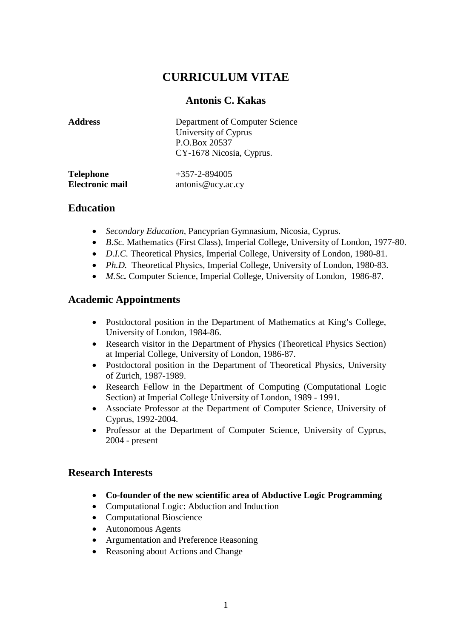# **CURRICULUM VITAE**

# **Antonis C. Kakas**

| <b>Address</b>         | Department of Computer Science<br>University of Cyprus<br>P.O.Box 20537<br>CY-1678 Nicosia, Cyprus. |
|------------------------|-----------------------------------------------------------------------------------------------------|
| <b>Telephone</b>       | $+357 - 2 - 894005$                                                                                 |
| <b>Electronic mail</b> | antonis@ucy.ac.cy                                                                                   |

# **Education**

- *Secondary Education,* Pancyprian Gymnasium, Nicosia, Cyprus.
- *B.Sc.* Mathematics (First Class), Imperial College, University of London, 1977-80.
- *D.I.C.* Theoretical Physics, Imperial College, University of London, 1980-81.
- *Ph.D.* Theoretical Physics, Imperial College, University of London, 1980-83.
- *M.Sc.* Computer Science, Imperial College, University of London, 1986-87.

# **Academic Appointments**

- Postdoctoral position in the Department of Mathematics at King's College, University of London, 1984-86.
- Research visitor in the Department of Physics (Theoretical Physics Section) at Imperial College, University of London, 1986-87.
- Postdoctoral position in the Department of Theoretical Physics, University of Zurich, 1987-1989.
- Research Fellow in the Department of Computing (Computational Logic Section) at Imperial College University of London, 1989 - 1991.
- Associate Professor at the Department of Computer Science, University of Cyprus, 1992-2004.
- Professor at the Department of Computer Science, University of Cyprus, 2004 - present

# **Research Interests**

- **Co-founder of the new scientific area of Abductive Logic Programming**
- Computational Logic: Abduction and Induction
- Computational Bioscience
- Autonomous Agents
- Argumentation and Preference Reasoning
- Reasoning about Actions and Change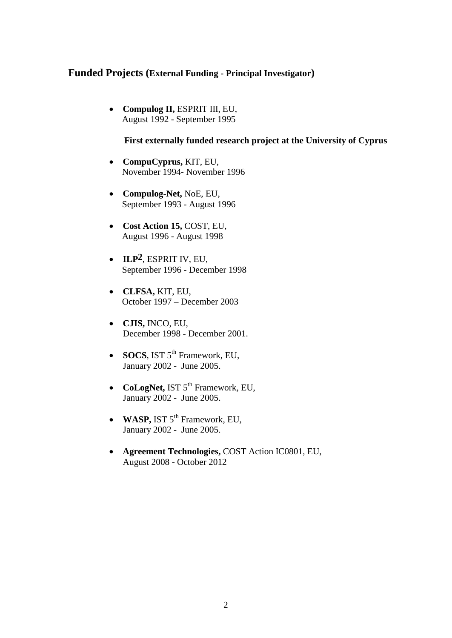### **Funded Projects (External Funding - Principal Investigator)**

• **Compulog II,** ESPRIT III, EU, August 1992 - September 1995

#### **First externally funded research project at the University of Cyprus**

- **CompuCyprus,** KIT, EU, November 1994- November 1996
- **Compulog-Net,** NoE, EU, September 1993 - August 1996
- **Cost Action 15,** COST, EU, August 1996 - August 1998
- **ILP2**, ESPRIT IV, EU, September 1996 - December 1998
- **CLFSA,** KIT, EU, October 1997 – December 2003
- **CJIS,** INCO, EU, December 1998 - December 2001.
- **SOCS**, IST 5<sup>th</sup> Framework, EU, January 2002 - June 2005.
- **CoLogNet, IST 5<sup>th</sup> Framework, EU,** January 2002 - June 2005.
- WASP, IST 5<sup>th</sup> Framework, EU, January 2002 - June 2005.
- **Agreement Technologies,** COST Action IC0801, EU, August 2008 - October 2012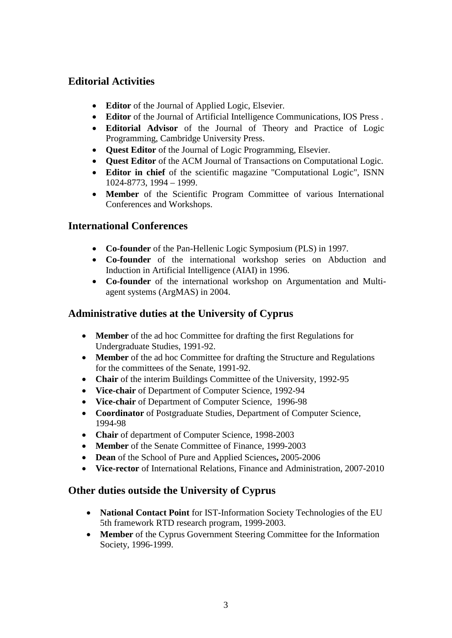# **Editorial Activities**

- **Editor** of the Journal of Applied Logic, Elsevier.
- **Editor** of the Journal of Artificial Intelligence Communications, IOS Press .
- **Editorial Advisor** of the Journal of Theory and Practice of Logic Programming, Cambridge University Press.
- **Quest Editor** of the Journal of Logic Programming, Elsevier.
- **Quest Editor** of the ACM Journal of Transactions on Computational Logic.
- **Editor in chief** of the scientific magazine "Computational Logic", ISNN 1024-8773, 1994 – 1999.
- **Member** of the Scientific Program Committee of various International Conferences and Workshops.

# **International Conferences**

- **Co-founder** of the Pan-Hellenic Logic Symposium (PLS) in 1997.
- **Co-founder** of the international workshop series on Abduction and Induction in Artificial Intelligence (AIAI) in 1996.
- **Co-founder** of the international workshop on Argumentation and Multiagent systems (ArgMAS) in 2004.

# **Administrative duties at the University of Cyprus**

- **Member** of the ad hoc Committee for drafting the first Regulations for Undergraduate Studies, 1991-92.
- **Member** of the ad hoc Committee for drafting the Structure and Regulations for the committees of the Senate, 1991-92.
- **Chair** of the interim Buildings Committee of the University, 1992-95
- **Vice-chair** of Department of Computer Science, 1992-94
- **Vice-chair** of Department of Computer Science, 1996-98
- **Coordinator** of Postgraduate Studies, Department of Computer Science, 1994-98
- **Chair** of department of Computer Science, 1998-2003
- **Member** of the Senate Committee of Finance, 1999-2003
- **Dean** of the School of Pure and Applied Sciences**,** 2005-2006
- **Vice-rector** of International Relations, Finance and Administration, 2007-2010

# **Other duties outside the University of Cyprus**

- **National Contact Point** for IST-Information Society Technologies of the EU 5th framework RTD research program, 1999-2003.
- **Member** of the Cyprus Government Steering Committee for the Information Society, 1996-1999.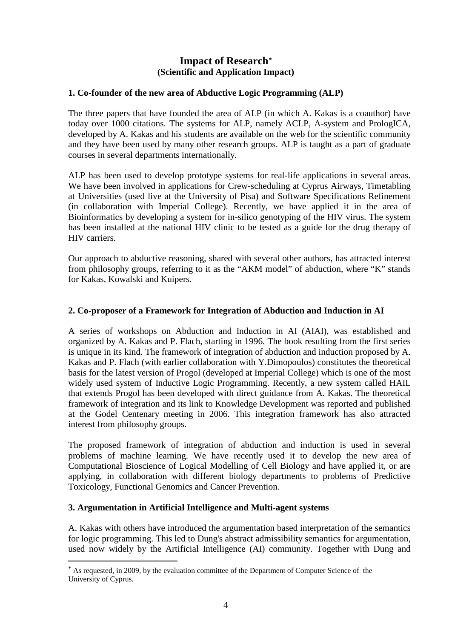### **Impact of Research[\\*](#page-3-0) (Scientific and Application Impact)**

#### **1. Co-founder of the new area of Abductive Logic Programming (ALP)**

The three papers that have founded the area of ALP (in which A. Kakas is a coauthor) have today over 1000 citations. The systems for ALP, namely ACLP, A-system and PrologICA, developed by A. Kakas and his students are available on the web for the scientific community and they have been used by many other research groups. ALP is taught as a part of graduate courses in several departments internationally.

ALP has been used to develop prototype systems for real-life applications in several areas. We have been involved in applications for Crew-scheduling at Cyprus Airways, Timetabling at Universities (used live at the University of Pisa) and Software Specifications Refinement (in collaboration with Imperial College). Recently, we have applied it in the area of Bioinformatics by developing a system for in-silico genotyping of the HIV virus. The system has been installed at the national HIV clinic to be tested as a guide for the drug therapy of HIV carriers.

Our approach to abductive reasoning, shared with several other authors, has attracted interest from philosophy groups, referring to it as the "AKM model" of abduction, where "K" stands for Kakas, Kowalski and Kuipers.

#### **2. Co-proposer of a Framework for Integration of Abduction and Induction in AI**

A series of workshops on Abduction and Induction in AI (AIAI), was established and organized by A. Kakas and P. Flach, starting in 1996. The book resulting from the first series is unique in its kind. The framework of integration of abduction and induction proposed by A. Kakas and P. Flach (with earlier collaboration with Y.Dimopoulos) constitutes the theoretical basis for the latest version of Progol (developed at Imperial College) which is one of the most widely used system of Inductive Logic Programming. Recently, a new system called HAIL that extends Progol has been developed with direct guidance from A. Kakas. The theoretical framework of integration and its link to Knowledge Development was reported and published at the Godel Centenary meeting in 2006. This integration framework has also attracted interest from philosophy groups.

The proposed framework of integration of abduction and induction is used in several problems of machine learning. We have recently used it to develop the new area of Computational Bioscience of Logical Modelling of Cell Biology and have applied it, or are applying, in collaboration with different biology departments to problems of Predictive Toxicology, Functional Genomics and Cancer Prevention.

#### **3. Argumentation in Artificial Intelligence and Multi-agent systems**

A. Kakas with others have introduced the argumentation based interpretation of the semantics for logic programming. This led to Dung's abstract admissibility semantics for argumentation, used now widely by the Artificial Intelligence (AI) community. Together with Dung and

<span id="page-3-0"></span> <sup>\*</sup> As requested, in 2009, by the evaluation committee of the Department of Computer Science of the University of Cyprus.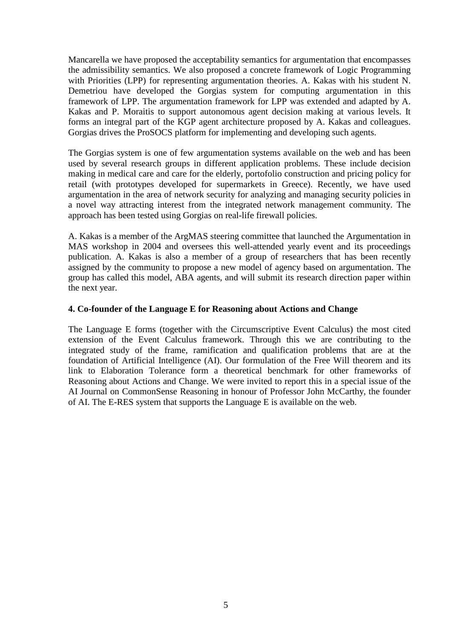Mancarella we have proposed the acceptability semantics for argumentation that encompasses the admissibility semantics. We also proposed a concrete framework of Logic Programming with Priorities (LPP) for representing argumentation theories. A. Kakas with his student N. Demetriou have developed the Gorgias system for computing argumentation in this framework of LPP. The argumentation framework for LPP was extended and adapted by A. Kakas and P. Moraitis to support autonomous agent decision making at various levels. It forms an integral part of the KGP agent architecture proposed by A. Kakas and colleagues. Gorgias drives the ProSOCS platform for implementing and developing such agents.

The Gorgias system is one of few argumentation systems available on the web and has been used by several research groups in different application problems. These include decision making in medical care and care for the elderly, portofolio construction and pricing policy for retail (with prototypes developed for supermarkets in Greece). Recently, we have used argumentation in the area of network security for analyzing and managing security policies in a novel way attracting interest from the integrated network management community. The approach has been tested using Gorgias on real-life firewall policies.

A. Kakas is a member of the ArgMAS steering committee that launched the Argumentation in MAS workshop in 2004 and oversees this well-attended yearly event and its proceedings publication. A. Kakas is also a member of a group of researchers that has been recently assigned by the community to propose a new model of agency based on argumentation. The group has called this model, ABA agents, and will submit its research direction paper within the next year.

#### **4. Co-founder of the Language E for Reasoning about Actions and Change**

The Language E forms (together with the Circumscriptive Event Calculus) the most cited extension of the Event Calculus framework. Through this we are contributing to the integrated study of the frame, ramification and qualification problems that are at the foundation of Artificial Intelligence (AI). Our formulation of the Free Will theorem and its link to Elaboration Tolerance form a theoretical benchmark for other frameworks of Reasoning about Actions and Change. We were invited to report this in a special issue of the AI Journal on CommonSense Reasoning in honour of Professor John McCarthy, the founder of AI. The E-RES system that supports the Language E is available on the web.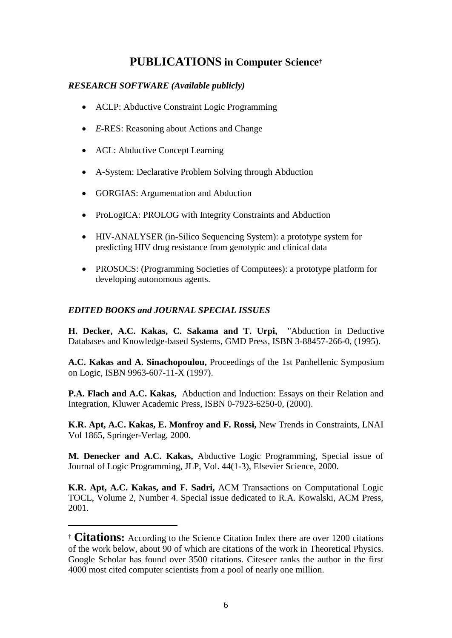# **PUBLICATIONS in Computer Science[†](#page-5-0)**

### *RESEARCH SOFTWARE (Available publicly)*

- ACLP: Abductive Constraint Logic Programming
- *E*-RES: Reasoning about Actions and Change
- ACL: Abductive Concept Learning
- A-System: Declarative Problem Solving through Abduction
- GORGIAS: Argumentation and Abduction
- ProLogICA: PROLOG with Integrity Constraints and Abduction
- HIV-ANALYSER (in-Silico Sequencing System): a prototype system for predicting HIV drug resistance from genotypic and clinical data
- PROSOCS: (Programming Societies of Computees): a prototype platform for developing autonomous agents.

### *EDITED BOOKS and JOURNAL SPECIAL ISSUES*

-

**H. Decker, A.C. Kakas, C. Sakama and T. Urpi,** "Abduction in Deductive Databases and Knowledge-based Systems, GMD Press, ISBN 3-88457-266-0, (1995).

**A.C. Kakas and A. Sinachopoulou,** Proceedings of the 1st Panhellenic Symposium on Logic, ISBN 9963-607-11-X (1997).

**P.A. Flach and A.C. Kakas,** Abduction and Induction: Essays on their Relation and Integration, Kluwer Academic Press, ISBN 0-7923-6250-0, (2000).

**K.R. Apt, A.C. Kakas, E. Monfroy and F. Rossi,** New Trends in Constraints, LNAI Vol 1865, Springer-Verlag, 2000.

**M. Denecker and A.C. Kakas,** Abductive Logic Programming, Special issue of Journal of Logic Programming, JLP, Vol. 44(1-3), Elsevier Science, 2000.

**K.R. Apt, A.C. Kakas, and F. Sadri,** ACM Transactions on Computational Logic TOCL, Volume 2, Number 4. Special issue dedicated to R.A. Kowalski, ACM Press, 2001.

<span id="page-5-0"></span><sup>†</sup> **Citations:** According to the Science Citation Index there are over 1200 citations of the work below, about 90 of which are citations of the work in Theoretical Physics. Google Scholar has found over 3500 citations. Citeseer ranks the author in the first 4000 most cited computer scientists from a pool of nearly one million.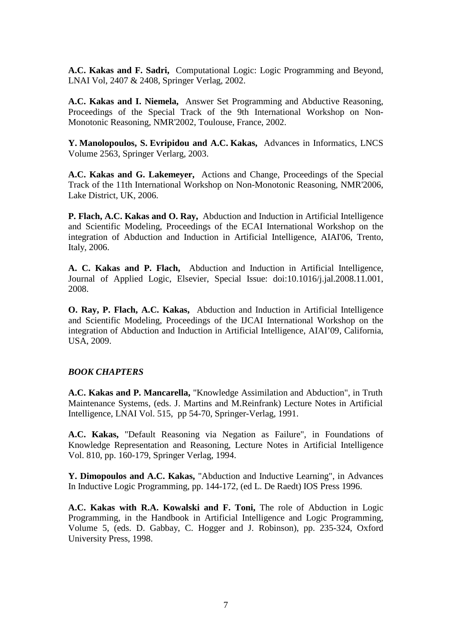**A.C. Kakas and F. Sadri,** Computational Logic: Logic Programming and Beyond, LNAI Vol, 2407 & 2408, Springer Verlag, 2002.

**A.C. Kakas and I. Niemela,** Answer Set Programming and Abductive Reasoning, Proceedings of the Special Track of the 9th International Workshop on Non-Monotonic Reasoning, NMR'2002, Toulouse, France, 2002.

**Y. Manolopoulos, S. Evripidou and A.C. Kakas,** Advances in Informatics, LNCS Volume 2563, Springer Verlarg, 2003.

**A.C. Kakas and G. Lakemeyer,** Actions and Change, Proceedings of the Special Track of the 11th International Workshop on Non-Monotonic Reasoning, NMR'2006, Lake District, UK, 2006.

**P. Flach, A.C. Kakas and O. Ray,** Abduction and Induction in Artificial Intelligence and Scientific Modeling, Proceedings of the ECAI International Workshop on the integration of Abduction and Induction in Artificial Intelligence, AIAI'06, Trento, Italy, 2006.

**A. C. Kakas and P. Flach,** Abduction and Induction in Artificial Intelligence, Journal of Applied Logic, Elsevier, Special Issue: doi:10.1016/j.jal.2008.11.001, 2008.

**O. Ray, P. Flach, A.C. Kakas,** Abduction and Induction in Artificial Intelligence and Scientific Modeling, Proceedings of the IJCAI International Workshop on the integration of Abduction and Induction in Artificial Intelligence, AIAI'09, California, USA, 2009.

#### *BOOK CHAPTERS*

**A.C. Kakas and P. Mancarella,** "Knowledge Assimilation and Abduction", in Truth Maintenance Systems, (eds. J. Martins and M.Reinfrank) Lecture Notes in Artificial Intelligence, LNAI Vol. 515, pp 54-70, Springer-Verlag, 1991.

**A.C. Kakas,** "Default Reasoning via Negation as Failure", in Foundations of Knowledge Representation and Reasoning, Lecture Notes in Artificial Intelligence Vol. 810, pp. 160-179, Springer Verlag, 1994.

**Y. Dimopoulos and A.C. Kakas,** "Abduction and Inductive Learning", in Advances In Inductive Logic Programming, pp. 144-172, (ed L. De Raedt) IOS Press 1996.

**A.C. Kakas with R.A. Kowalski and F. Toni,** The role of Abduction in Logic Programming, in the Handbook in Artificial Intelligence and Logic Programming, Volume 5, (eds. D. Gabbay, C. Hogger and J. Robinson), pp. 235-324, Oxford University Press, 1998.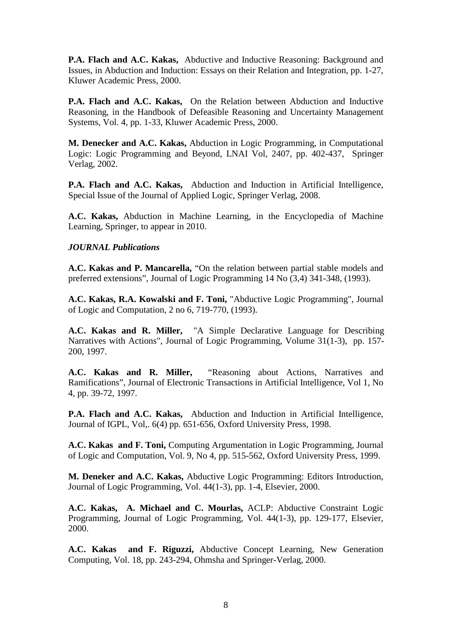**P.A. Flach and A.C. Kakas,** Abductive and Inductive Reasoning: Background and Issues, in Abduction and Induction: Essays on their Relation and Integration, pp. 1-27, Kluwer Academic Press, 2000.

**P.A. Flach and A.C. Kakas,** On the Relation between Abduction and Inductive Reasoning, in the Handbook of Defeasible Reasoning and Uncertainty Management Systems, Vol. 4, pp. 1-33, Kluwer Academic Press, 2000.

**M. Denecker and A.C. Kakas,** Abduction in Logic Programming, in Computational Logic: Logic Programming and Beyond, LNAI Vol, 2407, pp. 402-437, Springer Verlag, 2002.

**P.A. Flach and A.C. Kakas,** Abduction and Induction in Artificial Intelligence, Special Issue of the Journal of Applied Logic, Springer Verlag, 2008.

**A.C. Kakas,** Abduction in Machine Learning, in the Encyclopedia of Machine Learning, Springer, to appear in 2010.

#### *JOURNAL Publications*

**A.C. Kakas and P. Mancarella,** "On the relation between partial stable models and preferred extensions", Journal of Logic Programming 14 No (3,4) 341-348, (1993).

**A.C. Kakas, R.A. Kowalski and F. Toni,** "Abductive Logic Programming", Journal of Logic and Computation, 2 no 6, 719-770, (1993).

**A.C. Kakas and R. Miller,** "A Simple Declarative Language for Describing Narratives with Actions", Journal of Logic Programming, Volume 31(1-3), pp. 157- 200, 1997.

**A.C. Kakas and R. Miller,** "Reasoning about Actions, Narratives and Ramifications", Journal of Electronic Transactions in Artificial Intelligence, Vol 1, No 4, pp. 39-72, 1997.

**P.A. Flach and A.C. Kakas,** Abduction and Induction in Artificial Intelligence, Journal of IGPL, Vol,. 6(4) pp. 651-656, Oxford University Press, 1998.

**A.C. Kakas and F. Toni,** Computing Argumentation in Logic Programming, Journal of Logic and Computation, Vol. 9, No 4, pp. 515-562, Oxford University Press, 1999.

**M. Deneker and A.C. Kakas,** Abductive Logic Programming: Editors Introduction, Journal of Logic Programming, Vol. 44(1-3), pp. 1-4, Elsevier, 2000.

**A.C. Kakas, A. Michael and C. Mourlas,** ACLP: Abductive Constraint Logic Programming, Journal of Logic Programming, Vol. 44(1-3), pp. 129-177, Elsevier, 2000.

**A.C. Kakas and F. Riguzzi,** Abductive Concept Learning, New Generation Computing, Vol. 18, pp. 243-294, Ohmsha and Springer-Verlag, 2000.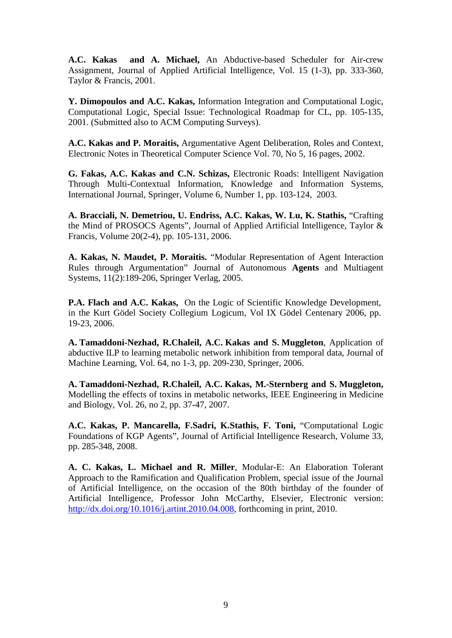**A.C. Kakas and A. Michael,** An Abductive-based Scheduler for Air-crew Assignment, Journal of Applied Artificial Intelligence, Vol. 15 (1-3), pp. 333-360, Taylor & Francis, 2001.

**Y. Dimopoulos and A.C. Kakas,** Information Integration and Computational Logic, Computational Logic, Special Issue: Technological Roadmap for CL, pp. 105-135, 2001. (Submitted also to ACM Computing Surveys).

**A.C. Kakas and P. Moraitis,** Argumentative Agent Deliberation, Roles and Context, Electronic Notes in Theoretical Computer Science Vol. 70, No 5, 16 pages, 2002.

**G. Fakas, A.C. Kakas and C.N. Schizas,** Electronic Roads: Intelligent Navigation Through Multi-Contextual Information, Knowledge and Information Systems, International Journal, Springer, Volume 6, Number 1, pp. 103-124, 2003.

**A. Bracciali, N. Demetriou, U. Endriss, A.C. Kakas, W. Lu, K. Stathis,** "Crafting the Mind of PROSOCS Agents", Journal of Applied Artificial Intelligence, Taylor & Francis, Volume 20(2-4), pp. 105-131, 2006.

**A. Kakas, N. Maudet, P. Moraitis.** "Modular Representation of Agent Interaction Rules through Argumentation" Journal of Autonomous **Agents** and Multiagent Systems, 11(2):189-206, Springer Verlag, 2005.

**P.A. Flach and A.C. Kakas,** On the Logic of Scientific Knowledge Development, in the Kurt Gödel Society Collegium Logicum, Vol IX Gödel Centenary 2006, pp. 19-23, 2006.

**A. Tamaddoni-Nezhad, R.Chaleil, A.C. Kakas and S. Muggleton**, Application of abductive ILP to learning metabolic network inhibition from temporal data, Journal of Machine Learning, Vol. 64, no 1-3, pp. 209-230, Springer, 2006.

**A. Tamaddoni-Nezhad, R.Chaleil, A.C. Kakas, M.-Sternberg and S. Muggleton,** Modelling the effects of toxins in metabolic networks, IEEE Engineering in Medicine and Biology, Vol. 26, no 2, pp. 37-47, 2007.

**A.C. Kakas, P. Mancarella, F.Sadri, K.Stathis, F. Toni,** "Computational Logic Foundations of KGP Agents", Journal of Artificial Intelligence Research, Volume 33, pp. 285-348, 2008.

**A. C. Kakas, L. Michael and R. Miller**, Modular-E: An Elaboration Tolerant Approach to the Ramification and Qualification Problem, special issue of the Journal of Artificial Intelligence, on the occasion of the 80th birthday of the founder of Artificial Intelligence, Professor John McCarthy, Elsevier, Electronic version: [http://dx.doi.org/10.1016/j.artint.2010.04.008,](http://dx.doi.org/10.1016/j.artint.2010.04.008) forthcoming in print, 2010.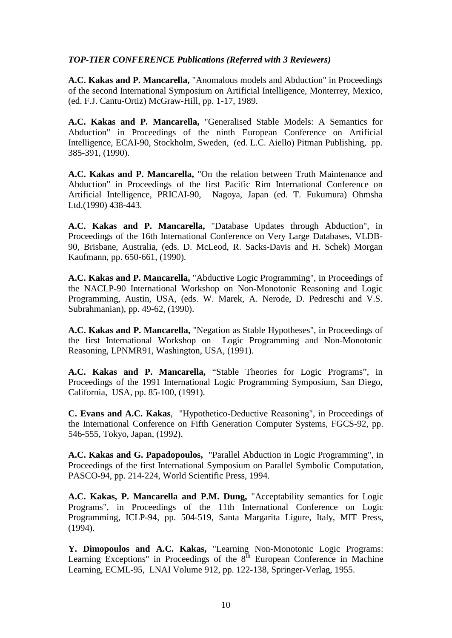#### *TOP-TIER CONFERENCE Publications (Referred with 3 Reviewers)*

**A.C. Kakas and P. Mancarella,** "Anomalous models and Abduction" in Proceedings of the second International Symposium on Artificial Intelligence, Monterrey, Mexico, (ed. F.J. Cantu-Ortiz) McGraw-Hill, pp. 1-17, 1989.

**A.C. Kakas and P. Mancarella,** "Generalised Stable Models: A Semantics for Abduction" in Proceedings of the ninth European Conference on Artificial Intelligence, ECAI-90, Stockholm, Sweden, (ed. L.C. Aiello) Pitman Publishing, pp. 385-391, (1990).

**A.C. Kakas and P. Mancarella,** "On the relation between Truth Maintenance and Abduction" in Proceedings of the first Pacific Rim International Conference on Artificial Intelligence, PRICAI-90, Nagoya, Japan (ed. T. Fukumura) Ohmsha Ltd.(1990) 438-443.

**A.C. Kakas and P. Mancarella,** "Database Updates through Abduction", in Proceedings of the 16th International Conference on Very Large Databases, VLDB-90, Brisbane, Australia, (eds. D. McLeod, R. Sacks-Davis and H. Schek) Morgan Kaufmann, pp. 650-661, (1990).

**A.C. Kakas and P. Mancarella,** "Abductive Logic Programming", in Proceedings of the NACLP-90 International Workshop on Non-Monotonic Reasoning and Logic Programming, Austin, USA, (eds. W. Marek, A. Nerode, D. Pedreschi and V.S. Subrahmanian), pp. 49-62, (1990).

**A.C. Kakas and P. Mancarella,** "Negation as Stable Hypotheses", in Proceedings of the first International Workshop on Logic Programming and Non-Monotonic Reasoning, LPNMR91, Washington, USA, (1991).

**A.C. Kakas and P. Mancarella,** "Stable Theories for Logic Programs", in Proceedings of the 1991 International Logic Programming Symposium, San Diego, California, USA, pp. 85-100, (1991).

**C. Evans and A.C. Kakas**, "Hypothetico-Deductive Reasoning", in Proceedings of the International Conference on Fifth Generation Computer Systems, FGCS-92, pp. 546-555, Tokyo, Japan, (1992).

**A.C. Kakas and G. Papadopoulos,** "Parallel Abduction in Logic Programming", in Proceedings of the first International Symposium on Parallel Symbolic Computation, PASCO-94, pp. 214-224, World Scientific Press, 1994.

**A.C. Kakas, P. Mancarella and P.M. Dung,** "Acceptability semantics for Logic Programs", in Proceedings of the 11th International Conference on Logic Programming, ICLP-94, pp. 504-519, Santa Margarita Ligure, Italy, MIT Press, (1994).

**Y. Dimopoulos and A.C. Kakas,** "Learning Non-Monotonic Logic Programs: Learning Exceptions" in Proceedings of the  $8<sup>th</sup>$  European Conference in Machine Learning, ECML-95, LNAI Volume 912, pp. 122-138, Springer-Verlag, 1955.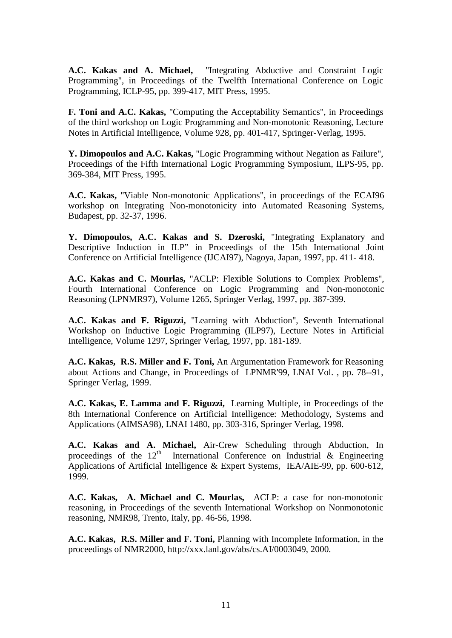**A.C. Kakas and A. Michael,** "Integrating Abductive and Constraint Logic Programming", in Proceedings of the Twelfth International Conference on Logic Programming, ICLP-95, pp. 399-417, MIT Press, 1995.

**F. Toni and A.C. Kakas,** "Computing the Acceptability Semantics", in Proceedings of the third workshop on Logic Programming and Non-monotonic Reasoning, Lecture Notes in Artificial Intelligence, Volume 928, pp. 401-417, Springer-Verlag, 1995.

**Y. Dimopoulos and A.C. Kakas,** "Logic Programming without Negation as Failure", Proceedings of the Fifth International Logic Programming Symposium, ILPS-95, pp. 369-384, MIT Press, 1995.

**A.C. Kakas,** "Viable Non-monotonic Applications", in proceedings of the ECAI96 workshop on Integrating Non-monotonicity into Automated Reasoning Systems, Budapest, pp. 32-37, 1996.

**Y. Dimopoulos, A.C. Kakas and S. Dzeroski,** "Integrating Explanatory and Descriptive Induction in ILP" in Proceedings of the 15th International Joint Conference on Artificial Intelligence (IJCAI97), Nagoya, Japan, 1997, pp. 411- 418.

**A.C. Kakas and C. Mourlas,** "ACLP: Flexible Solutions to Complex Problems", Fourth International Conference on Logic Programming and Non-monotonic Reasoning (LPNMR97), Volume 1265, Springer Verlag, 1997, pp. 387-399.

**A.C. Kakas and F. Riguzzi,** "Learning with Abduction", Seventh International Workshop on Inductive Logic Programming (ILP97), Lecture Notes in Artificial Intelligence, Volume 1297, Springer Verlag, 1997, pp. 181-189.

**A.C. Kakas, R.S. Miller and F. Toni,** An Argumentation Framework for Reasoning about Actions and Change, in Proceedings of LPNMR'99, LNAI Vol. , pp. 78--91, Springer Verlag, 1999.

**A.C. Kakas, E. Lamma and F. Riguzzi,** Learning Multiple, in Proceedings of the 8th International Conference on Artificial Intelligence: Methodology, Systems and Applications (AIMSA98), LNAI 1480, pp. 303-316, Springer Verlag, 1998.

**A.C. Kakas and A. Michael,** Air-Crew Scheduling through Abduction, In proceedings of the  $12<sup>th</sup>$  International Conference on Industrial & Engineering Applications of Artificial Intelligence & Expert Systems, IEA/AIE-99, pp. 600-612, 1999.

**A.C. Kakas, A. Michael and C. Mourlas,** ACLP: a case for non-monotonic reasoning, in Proceedings of the seventh International Workshop on Nonmonotonic reasoning, NMR98, Trento, Italy, pp. 46-56, 1998.

**A.C. Kakas, R.S. Miller and F. Toni,** Planning with Incomplete Information, in the proceedings of NMR2000, http://xxx.lanl.gov/abs/cs.AI/0003049, 2000.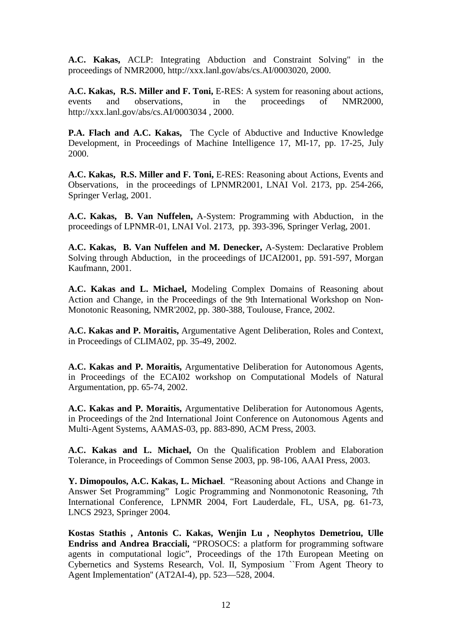**A.C. Kakas,** ACLP: Integrating Abduction and Constraint Solving" in the proceedings of NMR2000, http://xxx.lanl.gov/abs/cs.AI/0003020, 2000.

**A.C. Kakas, R.S. Miller and F. Toni,** E-RES: A system for reasoning about actions, events and observations, in the proceedings of NMR2000, http://xxx.lanl.gov/abs/cs.AI/0003034 , 2000.

**P.A. Flach and A.C. Kakas,** The Cycle of Abductive and Inductive Knowledge Development, in Proceedings of Machine Intelligence 17, MI-17, pp. 17-25, July 2000.

A.C. Kakas, R.S. Miller and F. Toni, E-RES: Reasoning about Actions, Events and Observations, in the proceedings of LPNMR2001, LNAI Vol. 2173, pp. 254-266, Springer Verlag, 2001.

**A.C. Kakas, B. Van Nuffelen,** A-System: Programming with Abduction, in the proceedings of LPNMR-01, LNAI Vol. 2173, pp. 393-396, Springer Verlag, 2001.

**A.C. Kakas, B. Van Nuffelen and M. Denecker,** A-System: Declarative Problem Solving through Abduction, in the proceedings of IJCAI2001, pp. 591-597, Morgan Kaufmann, 2001.

**A.C. Kakas and L. Michael,** Modeling Complex Domains of Reasoning about Action and Change, in the Proceedings of the 9th International Workshop on Non-Monotonic Reasoning, NMR'2002, pp. 380-388, Toulouse, France, 2002.

**A.C. Kakas and P. Moraitis,** Argumentative Agent Deliberation, Roles and Context, in Proceedings of CLIMA02, pp. 35-49, 2002.

**A.C. Kakas and P. Moraitis,** Argumentative Deliberation for Autonomous Agents, in Proceedings of the ECAI02 workshop on Computational Models of Natural Argumentation, pp. 65-74, 2002.

**A.C. Kakas and P. Moraitis,** Argumentative Deliberation for Autonomous Agents, in Proceedings of the 2nd International Joint Conference on Autonomous Agents and Multi-Agent Systems, AAMAS-03, pp. 883-890, ACM Press, 2003.

**A.C. Kakas and L. Michael,** On the Qualification Problem and Elaboration Tolerance, in Proceedings of Common Sense 2003, pp. 98-106, AAAI Press, 2003.

**Y. Dimopoulos, A.C. Kakas, L. Michael**. "Reasoning about Actions and Change in Answer Set Programming" Logic Programming and Nonmonotonic Reasoning, 7th International Conference, LPNMR 2004, Fort Lauderdale, FL, USA, pg. 61-73, LNCS 2923, Springer 2004.

**Kostas Stathis , Antonis C. Kakas, Wenjin Lu , Neophytos Demetriou, Ulle Endriss and Andrea Bracciali,** "PROSOCS: a platform for programming software agents in computational logic", Proceedings of the 17th European Meeting on Cybernetics and Systems Research, Vol. II, Symposium ``From Agent Theory to Agent Implementation'' (AT2AI-4), pp. 523—528, 2004.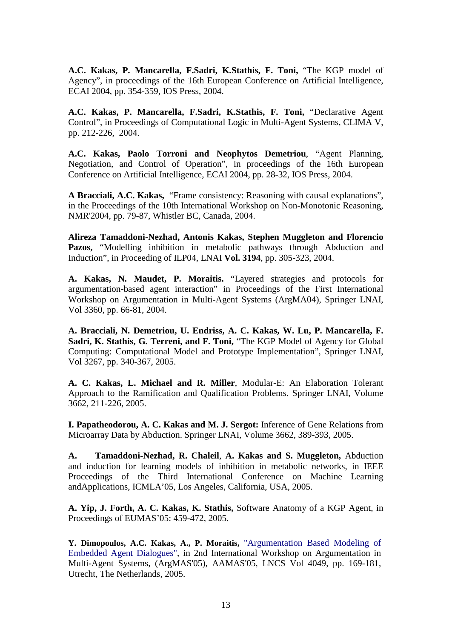**A.C. Kakas, P. Mancarella, F.Sadri, K.Stathis, F. Toni,** "The KGP model of Agency", in proceedings of the 16th European Conference on Artificial Intelligence, ECAI 2004, pp. 354-359, IOS Press, 2004.

**A.C. Kakas, P. Mancarella, F.Sadri, K.Stathis, F. Toni,** "Declarative Agent Control", in Proceedings of Computational Logic in Multi-Agent Systems, CLIMA V, pp. 212-226, 2004.

**A.C. Kakas, Paolo Torroni and Neophytos Demetriou**, "Agent Planning, Negotiation, and Control of Operation", in proceedings of the 16th European Conference on Artificial Intelligence, ECAI 2004, pp. 28-32, IOS Press, 2004.

**A Bracciali, A.C. Kakas,** "Frame consistency: Reasoning with causal explanations", in the Proceedings of the 10th International Workshop on Non-Monotonic Reasoning, NMR'2004, pp. 79-87, Whistler BC, Canada, 2004.

**Alireza Tamaddoni-Nezhad, Antonis Kakas, Stephen Muggleton and Florencio Pazos,** "Modelling inhibition in metabolic pathways through Abduction and Induction", in Proceeding of ILP04, LNAI **Vol. 3194**, pp. 305-323, 2004.

**A. Kakas, N. Maudet, P. Moraitis.** "Layered strategies and protocols for argumentation-based agent interaction" in Proceedings of the First International Workshop on Argumentation in Multi-Agent Systems (ArgMA04), Springer LNAI, Vol 3360, pp. 66-81, 2004.

**A. Bracciali, N. Demetriou, U. Endriss, A. C. Kakas, W. Lu, P. Mancarella, F. Sadri, K. Stathis, G. Terreni, and F. Toni,** "The KGP Model of Agency for Global Computing: Computational Model and Prototype Implementation", Springer LNAI, Vol 3267, pp. 340-367, 2005.

**A. C. Kakas, L. Michael and R. Miller**, Modular-E: An Elaboration Tolerant Approach to the Ramification and Qualification Problems. Springer LNAI, Volume 3662, 211-226, 2005.

**I. Papatheodorou, A. C. Kakas and M. J. Sergot:** Inference of Gene Relations from Microarray Data by Abduction. Springer LNAI, Volume 3662, 389-393, 2005.

**A. Tamaddoni-Nezhad, R. Chaleil**, **A. Kakas and S. Muggleton,** Abduction and induction for learning models of inhibition in metabolic networks, in IEEE Proceedings of the Third International Conference on Machine Learning andApplications, ICMLA'05, Los Angeles, California, USA, 2005.

**A. Yip, J. Forth, A. C. Kakas, K. Stathis,** Software Anatomy of a KGP Agent, in Proceedings of EUMAS'05: 459-472, 2005.

**Y. Dimopoulos, A.C. Kakas, A., P. Moraitis,** "Argumentation Based Modeling of Embedded Agent Dialogues", in 2nd International Workshop on Argumentation in Multi-Agent Systems, (ArgMAS'05), AAMAS'05, LNCS Vol 4049, pp. 169-181, Utrecht, The Netherlands, 2005.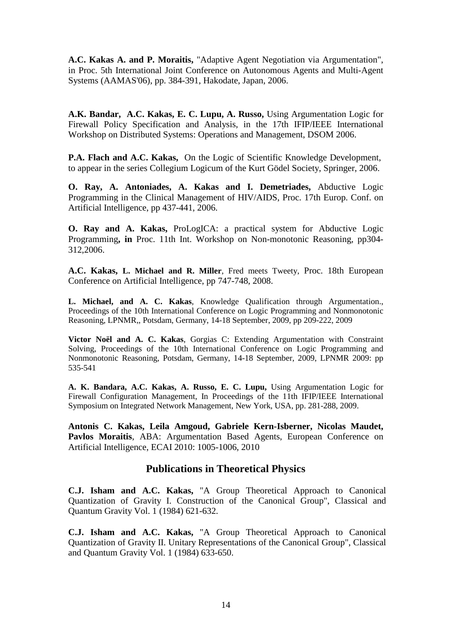**A.C. Kakas A. and P. Moraitis,** "Adaptive Agent Negotiation via Argumentation", in Proc. 5th International Joint Conference on Autonomous Agents and Multi-Agent Systems (AAMAS'06), pp. 384-391, Hakodate, Japan, 2006.

**A.K. Bandar, A.C. Kakas, E. C. Lupu, A. Russo,** Using Argumentation Logic for Firewall Policy Specification and Analysis, in the 17th IFIP/IEEE International Workshop on Distributed Systems: Operations and Management, DSOM 2006.

**P.A. Flach and A.C. Kakas,** On the Logic of Scientific Knowledge Development, to appear in the series Collegium Logicum of the Kurt Gödel Society, Springer, 2006.

**O. Ray, A. Antoniades, A. Kakas and I. Demetriades,** Abductive Logic Programming in the Clinical Management of HIV/AIDS, Proc. 17th Europ. Conf. on Artificial Intelligence, pp 437-441, 2006.

**O. Ray and A. Kakas,** ProLogICA: a practical system for Abductive Logic Programming**, in** Proc. 11th Int. Workshop on Non-monotonic Reasoning, pp304- 312,2006.

**A.C. Kakas, L. Michael and R. Miller**, Fred meets Tweety, Proc. 18th European Conference on Artificial Intelligence, pp 747-748, 2008.

**L. Michael, and A. C. Kakas**, Knowledge Qualification through Argumentation., Proceedings of the 10th International Conference on Logic Programming and Nonmonotonic Reasoning, LPNMR,, Potsdam, Germany, 14-18 September, 2009, pp 209-222, [2009](http://www.informatik.uni-trier.de/~ley/db/conf/lpnmr/lpnmr2009.html#NoelK09)

**Victor Noël and A. C. Kakas**, Gorgias C: Extending Argumentation with Constraint Solving, Proceedings of the 10th International Conference on Logic Programming and Nonmonotonic Reasoning, Potsdam, Germany, 14-18 September, 2009, [LPNMR 2009:](http://www.informatik.uni-trier.de/~ley/db/conf/lpnmr/lpnmr2009.html#NoelK09) pp 535-541

**A. K. Bandara, A.C. Kakas, A. Russo, E. C. Lupu,** Using Argumentation Logic for Firewall Configuration Management, In Proceedings of the 11th IFIP/IEEE International Symposium on Integrated Network Management, New York, USA, pp. 281-288, 2009.

**Antonis C. Kakas, Leila Amgoud, Gabriele Kern-Isberner, Nicolas Maudet, [Pavlos Moraitis](http://www.informatik.uni-trier.de/~ley/db/indices/a-tree/m/Moraitis:Pavlos.html)**, ABA: Argumentation Based Agents, European Conference on Artificial Intelligence, ECAI 2010: 1005-1006, 2010

# **Publications in Theoretical Physics**

**C.J. Isham and A.C. Kakas,** "A Group Theoretical Approach to Canonical Quantization of Gravity I. Construction of the Canonical Group", Classical and Quantum Gravity Vol. 1 (1984) 621-632.

**C.J. Isham and A.C. Kakas,** "A Group Theoretical Approach to Canonical Quantization of Gravity II. Unitary Representations of the Canonical Group", Classical and Quantum Gravity Vol. 1 (1984) 633-650.